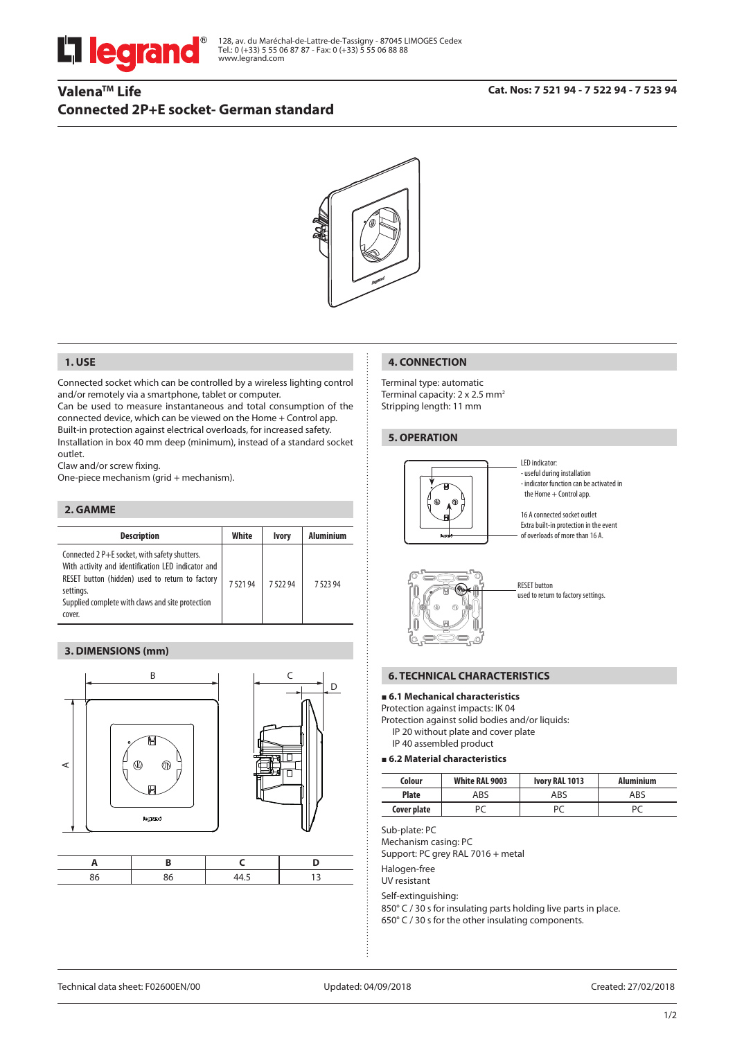

# **ValenaTM Life Connected 2P+E socket- German standard**

# **Cat. Nos: 7 521 94 - 7 522 94 - 7 523 94**



# **1. USE**

Connected socket which can be controlled by a wireless lighting control and/or remotely via a smartphone, tablet or computer.

Can be used to measure instantaneous and total consumption of the connected device, which can be viewed on the Home + Control app. Built-in protection against electrical overloads, for increased safety. Installation in box 40 mm deep (minimum), instead of a standard socket outlet.

Claw and/or screw fixing.

One-piece mechanism (grid + mechanism).

### **2. GAMME**

| <b>Description</b>                                                                                                                                                                                                                | White  | <b>Ivory</b> | <b>Aluminium</b> |
|-----------------------------------------------------------------------------------------------------------------------------------------------------------------------------------------------------------------------------------|--------|--------------|------------------|
| Connected 2 P+E socket, with safety shutters.<br>With activity and identification LED indicator and<br>RESET button (hidden) used to return to factory<br>settings.<br>Supplied complete with claws and site protection<br>cover. | 752194 | 752294       | 752394           |

## **3. DIMENSIONS (mm)**



#### **4. CONNECTION**

Terminal type: automatic Terminal capacity: 2 x 2.5 mm<sup>2</sup> Stripping length: 11 mm

#### **5. OPERATION**



LED indicator: - useful during installation - indicator function can be activated in the Home + Control app.

16 A connected socket outlet Extra built-in protection in the event of overloads of more than 16 A.



RESET button used to return to factory settings.

## **6. TECHNICAL CHARACTERISTICS**

# **6.1 Mechanical characteristics**

Protection against impacts: IK 04

Protection against solid bodies and/or liquids: IP 20 without plate and cover plate

IP 40 assembled product

### **6.2 Material characteristics**

| Colour       | White RAL 9003 | Ivory RAL 1013 | <b>Aluminium</b> |
|--------------|----------------|----------------|------------------|
| <b>Plate</b> | ABS            | ABS            | ABS              |
| Cover plate  |                |                | D٢               |

Sub-plate: PC

Mechanism casing: PC

Support: PC grey RAL 7016 + metal

Halogen-free

UV resistant

Self-extinguishing:

850° C / 30 s for insulating parts holding live parts in place. 650° C / 30 s for the other insulating components.